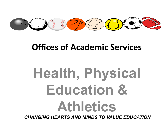

# **Offices of Academic Services**

# **Health, Physical Education & Athletics**

*CHANGING HEARTS AND MINDS TO VALUE EDUCATION*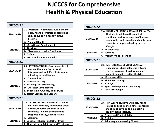# **NJCCCS for Comprehensive Health & Physical Education**

| <b>NJCCCS 2.1</b> |                                                                                                                                                                                                  |  |  |  |  |  |  |
|-------------------|--------------------------------------------------------------------------------------------------------------------------------------------------------------------------------------------------|--|--|--|--|--|--|
| <b>STANDARD</b>   | 2.1 WELLNESS: All students will learn and<br>apply health promotion concepts and<br>skills to support a healthy, active<br>lifestyle.                                                            |  |  |  |  |  |  |
| <b>STRANDS</b>    | A. Personal Health<br><b>B. Growth and Development</b><br>C. Nutrition<br>D. Diseases and Health Conditions<br>E. Safety<br><b>F. Social and Emotional Health</b>                                |  |  |  |  |  |  |
| <b>NJCCCS 2.2</b> |                                                                                                                                                                                                  |  |  |  |  |  |  |
| <b>STANDARD</b>   | 2.2 INTEGRATED SKILLS: All students will<br>use health-enhancing personal,<br>interpersonal, and life skills to support<br>a healthy, active lifestyle.                                          |  |  |  |  |  |  |
| <b>STRANDS</b>    | A. Communication<br><b>B. Decision Making</b><br><b>C. Planning and Goal Setting</b><br>D. Character Development<br>E. Leadership, Advocacy and Service<br><b>F. Health Services and Careers</b> |  |  |  |  |  |  |
| <b>NJCCCS 2.3</b> |                                                                                                                                                                                                  |  |  |  |  |  |  |
| <b>STANDARD</b>   | 2.3 DRUGS AND MEDICINES: All students<br>will learn and apply information about<br>alcohol, tobacco, other drugs and<br>medicines to make decisions that<br>support a healthy, active lifestyle. |  |  |  |  |  |  |
| <b>STRANDS</b>    | A. Medicines<br><b>B. Alcohol, Tobacco, and Other Drugs</b><br>C. Dependency / Addiction and Treatment                                                                                           |  |  |  |  |  |  |

| <b>NJCCCS 2.4</b> |                                                                                                                                                                                                                                 |
|-------------------|---------------------------------------------------------------------------------------------------------------------------------------------------------------------------------------------------------------------------------|
| <b>STANDARD</b>   | 2.4 HUMAN RELATIONSHIPS AND SEXUALITY:<br>All students will learn the physical,<br>emotional, and social aspects of human<br>relationships and sexuality and apply these<br>concepts to support a healthy, active<br>lifestyle. |
| <b>STRANDS</b>    | A. Relationships<br><b>B.</b> Sexuality<br>C. Pregnancy and Parenting                                                                                                                                                           |
| <b>NJCCCS 2.5</b> |                                                                                                                                                                                                                                 |
| <b>STANDARD</b>   | 2.5 MOTOR SKILLS DEVELOPMENT: All<br>students will utilize safe, efficient, and<br>effective movement to develop and<br>maintain a healthy, active lifestyle.                                                                   |
| <b>STRANDS</b>    | A. Movement skills<br><b>B. Movement concepts</b><br>C. Strategy<br>D. Sportsmanship, Rules, and Safety<br><b>E. Sport Psychology</b>                                                                                           |
| <b>NJCCCS 2.6</b> |                                                                                                                                                                                                                                 |
| <b>STANDARD</b>   | 2.6 FITNESS: All students will apply health-<br>related and skill-related fitness concepts<br>and skills to develop and maintain a<br>healthy, active lifestyle.                                                                |
| <b>STRANDS</b>    | A. Fitness and Physical Activity<br><b>B.</b> Training<br><b>C. Achieving and Assessing Fitness</b>                                                                                                                             |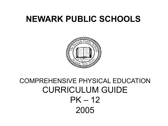# **NEWARK PUBLIC SCHOOLS**



# COMPREHENSIVE PHYSICAL EDUCATION CURRICULUM GUIDE  $PK - 12$ 2005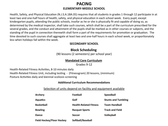### **PACING ELEMENTARY-MIDDLE SCHOOL**

Health, Safety, and Physical Education (N.J.S.A.18A:35) requires that all students in grades 1 through 12 participate in at least two and one-half hours of health, safety, and physical education in each school week. Every pupil, except kindergarten pupils, attending the public schools, insofar as he or she is physically fit and capable of doing so, as determined by the medical inspector, shall take such courses, which shall be a part of the curriculum prescribed for the several grades, and the conduct and attainment of the pupils shall be marked as in other courses or subjects, and the standing of the pupil in connection therewith shall form a part of the requirements for promotion or graduation. The time devoted to such courses shall aggregate at least two and one-half hours in each school week, or proportionately less when holidays fall within the week.

### **SECONDARY SCHOOL**

### **Block Scheduling**

(90 lessons (2 semesters) per school year)

### **Mandated Core Curriculum**

Grades 9-12

Health-Related Fitness Activities, 8-10 minutes daily Health-Related Fitness Unit, including testing - (Fitnessgram) 20 lessons, (minimum) Posture Activities daily and biennial scoliosis screening

#### **Additional Curriculum Recommendations**

### Selection of units depend on facility and equipment available

| Archery                          | <b>Football</b>               | <b>Speedball</b>           |
|----------------------------------|-------------------------------|----------------------------|
| <b>Aquatics</b>                  | Golf                          | <b>Stunts and Tumbling</b> |
| <b>Basketball</b>                | <b>Health-Related Fitness</b> | <b>Team Handball</b>       |
| <b>Bowling</b>                   | <b>Racquet Sports</b>         | <b>Track and Field</b>     |
| Dance                            | <b>Soccer</b>                 | <b>Volleyball</b>          |
| <b>Field Hockey/Floor Hockey</b> | Softball/Baseball             |                            |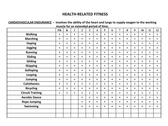### **HEALTH-RELATED FITNESS**

| CARDIOVASCULAR ENDURANCE - Involves the ability of the heart and lungs to supply oxygen to the working |         |             |         |                |                |         |         |         |                |         |         |         |         |         |
|--------------------------------------------------------------------------------------------------------|---------|-------------|---------|----------------|----------------|---------|---------|---------|----------------|---------|---------|---------|---------|---------|
| muscle for an extended period of time.                                                                 |         |             |         |                |                |         |         |         |                |         |         |         |         |         |
|                                                                                                        | PK      | $\mathbf K$ |         | $\overline{2}$ | $\overline{3}$ | 4       | 5       | 6       | $\overline{7}$ | 8       | 9       | 10      | 11      | 12      |
| <b>Walking</b>                                                                                         | $\star$ | $\star$     | $\star$ | $\star$        | $\star$        | $\star$ | $\star$ | $\star$ | $\star$        | $\star$ | $\star$ | $\ast$  | $\star$ | $\star$ |
| <b>Marching</b>                                                                                        | $\star$ | $\star$     | $\star$ | $\star$        | $\star$        | $\star$ | $\star$ | $\star$ | $\star$        | $\star$ | $\star$ | $\star$ | $\star$ | $\ast$  |
| <b>Hoping</b>                                                                                          | $\star$ | $\star$     | $\star$ | $\star$        | $\star$        | $\ast$  | $\star$ | $\star$ | $\star$        | $\star$ | $\star$ | $\ast$  | $\star$ | $\star$ |
| <b>Jogging</b>                                                                                         | $\star$ | $\star$     | $\star$ | $\star$        | $\star$        | $\ast$  | $\star$ | $\star$ | $\star$        | $\star$ | $\star$ | $\ast$  | $\star$ | $\star$ |
| <b>Running</b>                                                                                         | $\star$ | $\star$     | $\ast$  | $\star$        | $\star$        | $\star$ | $\star$ | *       | $\star$        | $\star$ | $\star$ | $\star$ | $\star$ | $\ast$  |
| <b>Sliding</b>                                                                                         | $\star$ | $\star$     | $\star$ | $\star$        | $\star$        | $\star$ | $\star$ | $\star$ | $\star$        | $\star$ | $\star$ | $\star$ | $\star$ | $\star$ |
| <b>Gliding</b>                                                                                         | $\star$ | $\star$     | $\star$ | $\star$        | $\star$        | $\ast$  | $\star$ | $\star$ | $\star$        | $\star$ | $\star$ | $\ast$  | $\star$ | $\star$ |
| <b>Skipping</b>                                                                                        | $\star$ | $\star$     | $\star$ | $\star$        | $\star$        | $\star$ | $\star$ | *       | $\star$        | $\star$ | $\star$ | $\star$ | $\star$ | $\ast$  |
| <b>Galloping</b>                                                                                       | $\star$ | $\star$     | $\star$ | $\star$        | $\star$        | $\ast$  | $\star$ | $\star$ | $\star$        | $\star$ | $\star$ | $\ast$  | $\star$ | $\star$ |
| <b>Leaping</b>                                                                                         | $\star$ | $\star$     | $\star$ | $\star$        | $\star$        | $\star$ | $\star$ | $\star$ | $\star$        | $\star$ | $\star$ | $\star$ | $\star$ | $\star$ |
| <b>Jumping</b>                                                                                         | $\star$ | $\star$     | $\star$ | $\star$        | $\star$        | $\star$ | $\star$ | $\star$ | $\star$        | $\star$ | $\star$ | $\star$ | $\star$ | $\star$ |
| <b>Calisthenics</b>                                                                                    | $\star$ | $\star$     | $\star$ | $\star$        | $\star$        | $\ast$  | $\star$ | $\star$ | $\star$        | $\star$ | $\star$ | $\ast$  | $\star$ | $\star$ |
| <b>Bicycling</b>                                                                                       | $\star$ | $\star$     | $\star$ | $\star$        | $\star$        | $\ast$  | $\star$ | $\star$ | $\star$        | $\star$ | $\star$ | $\ast$  | $\star$ | $\star$ |
| <b>Circuit Training</b>                                                                                | $\star$ | $\star$     | $\star$ | $\star$        | $\star$        | $\star$ | $\star$ | $\star$ | $\star$        | $\star$ | $\star$ | $\star$ | $\star$ | $\star$ |
| <b>Aerobic Dance</b>                                                                                   |         |             |         | $\star$        | $\star$        | $\star$ | $\star$ | $\star$ | $\star$        | $\star$ | $\star$ | $\ast$  | $\star$ | $\star$ |
| <b>Rope Jumping</b>                                                                                    |         |             |         | $\star$        | $\star$        | $\star$ | $\star$ | $\star$ | $\star$        | $\star$ | $\star$ | $\star$ | $\star$ | $\star$ |
| <b>Swimming</b>                                                                                        |         |             |         | $\star$        | $\star$        | $\star$ | $\star$ | $\star$ | $\star$        | $\star$ | $\star$ | $\star$ | $\star$ | $\ast$  |
|                                                                                                        |         |             |         |                |                |         |         |         |                |         |         |         |         |         |
|                                                                                                        |         |             |         |                |                |         |         |         |                |         |         |         |         |         |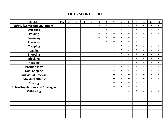### **FALL - SPORTS SKILLS**

| <b>SOCCER</b>                           | PK | $\mathbf K$ | $\mathbf{1}$ | $\overline{2}$ | 3 | $\overline{\mathbf{4}}$ | 5       | 6       | $\overline{7}$ | 8       | 9       | 10      | 11      | 12      |
|-----------------------------------------|----|-------------|--------------|----------------|---|-------------------------|---------|---------|----------------|---------|---------|---------|---------|---------|
| <b>Safety (Game and Equipment)</b>      |    |             |              |                |   | $\star$                 | $\star$ | $\star$ | $\star$        | $\star$ | $\ast$  | $\star$ | $\star$ | $\star$ |
| <b>Dribbling</b>                        |    |             |              |                |   | $\star$                 | $\star$ | $\star$ | $\star$        | $\star$ | $\star$ | $\star$ | $\star$ | $\star$ |
| <b>Passing</b>                          |    |             |              |                |   | $\star$                 | $\star$ | $\star$ | $\star$        | $\star$ | $\star$ | $\star$ | $\star$ | $\star$ |
| <b>Receiving</b>                        |    |             |              |                |   | $\ast$                  | $\star$ | $\star$ | $\star$        | $\star$ | $\ast$  | $\star$ | $\ast$  | $\star$ |
| Throw-in                                |    |             |              |                |   |                         | $\star$ | $\star$ | $\star$        | $\star$ | $\star$ | $\star$ | $\star$ | $\star$ |
| <b>Trapping</b>                         |    |             |              |                |   |                         |         | $\star$ | $\star$        | $\star$ | $\star$ | $\star$ | $\star$ | $\star$ |
| <b>Juggling</b>                         |    |             |              |                |   |                         |         | $\star$ | $\star$        | $\star$ | $\star$ | $\star$ | $\star$ | $\star$ |
| <b>Shooting</b>                         |    |             |              |                |   |                         |         | $\star$ | $\star$        | $\star$ | $\star$ | $\star$ | $\star$ | $\star$ |
| <b>Blocking</b>                         |    |             |              |                |   |                         |         | $\star$ | $\star$        | $\star$ | $\star$ | $\star$ | $\star$ | $\star$ |
| <b>Heading</b>                          |    |             |              |                |   |                         |         | $\star$ | $\star$        | $\star$ | $\ast$  | $\star$ | $\star$ | $\star$ |
| <b>Position Play</b>                    |    |             |              |                |   |                         |         | $\star$ | $\star$        | $\star$ | $\star$ | $\star$ | $\star$ | $\star$ |
| <b>Goal Keeping</b>                     |    |             |              |                |   |                         |         | $\star$ | $\star$        | $\star$ | $\star$ | $\star$ | $\star$ | $\star$ |
| <b>Individual Defense</b>               |    |             |              |                |   |                         |         | $\star$ | $\star$        | $\star$ | $\star$ | $\star$ | $\star$ | $\star$ |
| <b>Individual Offense</b>               |    |             |              |                |   |                         |         | $\star$ | $\star$        | $\star$ | $\star$ | $\star$ | $\star$ | $\star$ |
| <b>Scoring</b>                          |    |             |              |                |   |                         |         | $\star$ | $\star$        | $\star$ | $\star$ | $\star$ | $\star$ | $\star$ |
| <b>Rules/Regulations and Strategies</b> |    |             |              |                |   |                         |         | $\star$ | $\star$        | $\star$ | $\star$ | $\star$ | $\star$ | $\star$ |
| <b>Officiating</b>                      |    |             |              |                |   |                         |         |         |                | $\star$ | $\star$ | $\star$ | $\star$ | $\star$ |
|                                         |    |             |              |                |   |                         |         |         |                |         |         |         |         |         |
|                                         |    |             |              |                |   |                         |         |         |                |         |         |         |         |         |
|                                         |    |             |              |                |   |                         |         |         |                |         |         |         |         |         |
|                                         |    |             |              |                |   |                         |         |         |                |         |         |         |         |         |
|                                         |    |             |              |                |   |                         |         |         |                |         |         |         |         |         |
|                                         |    |             |              |                |   |                         |         |         |                |         |         |         |         |         |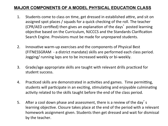# **MAJOR COMPONENTS OF A MODEL PHYSICAL EDUCATION CLASS**

- 1. Students come to class on time, get dressed in established attire, and sit on assigned spot places / squads for a quick checking of the roll. The teacher (CPR/AED certified) then gives an explanation of the days' posted learning objective based on the Curriculum, NJCCCS and the Standards Clarification Search Engine. Provisions must be made for unprepared students.
- 2. Innovative warm-up exercises and the components of Physical Best (FITNESSGRAM - a district mandate) skills are performed each class period. Jogging/ running laps are to be increased weekly or bi-weekly.
- 3. Grade/age appropriate skills are taught with relevant drills practiced for student success.
- 4. Practiced skills are demonstrated in activities and games. Time permitting, students will participate in an exciting, stimulating and enjoyable culminating activity related to the skills taught before the end of the class period.
- 5. After a cool down phase and assessment, there is a review of the day's learning objective. Closure takes place at the end of the period with a relevant homework assignment given. Students then get dressed and wait for dismissal by the teacher.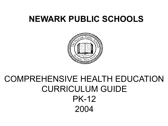# **NEWARK PUBLIC SCHOOLS**



# COMPREHENSIVE HEALTH EDUCATION CURRICULUM GUIDE PK-12 2004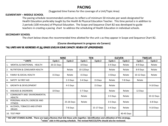### **PACING**

#### (Suggested time frames for the coverage of a Unit/Topic Area)

#### **ELEMENTARY – MIDDLE SCHOOL**

The pacing schedule recommended continues to reflect a of minimum 50 minutes per week designated for Health Education preferably taught by the Health & Physical Education Teacher. This time period is in addition to 2 periods (100 minutes) of Physical Education. The Scope and Sequence Chart B2 was developed to guide teachers in creating a pacing chart to address the scheduling of Health Education in individual schools.

#### **SECONDARY SCHOOL**

The chart below shows the recommended time allotted for the unit s as they appear in Scope and Sequence Chart B2.

#### **(Course development in progress via Careers)**

#### \*ALL UNITS MAY BE ADDRESSED AT ALL GRADE LEVELS IN SOME CAPACITY. REVIEW OPI'S/PROFICIENCIES

|                                                                                                                                                                                                                             |            | <b>NINE</b> |              | <b>TEN</b> |          | <b>ELEVEN</b> | <b>TWELVE</b> |            |  |
|-----------------------------------------------------------------------------------------------------------------------------------------------------------------------------------------------------------------------------|------------|-------------|--------------|------------|----------|---------------|---------------|------------|--|
| * UNITS                                                                                                                                                                                                                     | Cycle 1    | Cycle 2     | Cycle 1      | Cycle 2    | Cycle 1  | Cycle 2       | Cycle 1       | Cycle 2    |  |
| MENTAL & EMOTIONAL HEALTH                                                                                                                                                                                                   | 20-21 Days |             | 10 Days      |            | 3-4 Days | Relate        | 8-9 Days      | Relate     |  |
| <b>NUTRITION &amp; CONSUMER HEALTH</b><br>2.                                                                                                                                                                                |            | Relate      | $10-12$ Days |            | Relate   | Relate        | 8-9 Days      | Relate     |  |
| <b>FAMILY &amp; SOCIAL HEALTH</b><br>3.                                                                                                                                                                                     | 15 Days    | Relate      | 15 Days      |            | 3-5Days  | Relate        | 10-12 Days    | Relate     |  |
| SAFETY & FIRST AID<br>4.                                                                                                                                                                                                    |            | 2-3 Days    | 3-4 Days     | 15 Days    | Relate   | 7-8 Days      | Relate        |            |  |
| <b>GROWTH &amp; DEVELOPMENT</b><br>5.                                                                                                                                                                                       |            | 4-5 Days    |              | 15 Days    | Relate   |               |               | 9-10 Days  |  |
| <b>DISEASES &amp; DISORDERS</b><br>6.                                                                                                                                                                                       | 10 Days    |             | 5-7 Days     |            | Relate   | Relate        | 12 Days       |            |  |
| 7 <sub>1</sub><br><b>COMMUNITY AND ENVIRONMENTAL</b><br><b>HEALTH</b>                                                                                                                                                       |            |             | Relate       |            | 3-5 Days | Relate        |               | 10-12 Days |  |
| 8.<br>PERSONAL HEALTH, EXERCISE AND<br><b>FITNESS</b>                                                                                                                                                                       |            | 25-26 Days  | Relate       |            | 3-5 Days | Relate        |               | 6-8 Days   |  |
| ALCOHOL, TOBACCO AND OTHER<br>l 9.<br><b>DRUGS</b>                                                                                                                                                                          |            | 7-8 Days    |              | 15-17 Days | 3-4 Days | Relate        |               | 9-10 Days  |  |
| 10. TEST PREP                                                                                                                                                                                                               |            |             |              |            |          | 40-45 Days    |               |            |  |
| * NO UNIT STANDS ALONE. There are topics/themes that link these units together. Identification and utilization of this strategy,<br>"relate" aids in this pacing schedule. The revised NJCCCS/CPIs should also be reviewed. |            |             |              |            |          |               |               |            |  |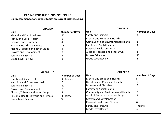| <b>PACING FOR THE BLOCK SCHEDULE</b><br>Unit recommendations reflect topics on current district exams. |                       |                                      |                       |
|--------------------------------------------------------------------------------------------------------|-----------------------|--------------------------------------|-----------------------|
| <b>GRADE 9</b>                                                                                         |                       | GRADE 11                             |                       |
| Unit                                                                                                   | <b>Number of Days</b> | Unit                                 | <b>Number of Days</b> |
| <b>Mental and Emotional Health</b>                                                                     | 10                    | Safety and First Aid                 | 3                     |
| <b>Family and Social Health</b>                                                                        | 6                     | Mental and Emotional Health          | 2                     |
| <b>Diseases and Disorders</b>                                                                          | 4                     | Community and Environmental Health   | 3                     |
| <b>Personal Health and Fitness</b>                                                                     | 13                    | Family and Social Health             | $\overline{2}$        |
| Alcohol, Tobacco and other Drugs                                                                       | 4                     | <b>Personal Health and Fitness</b>   | $\overline{2}$        |
| Growth and Development                                                                                 | 3                     | Alcohol, Tobacco and other Drugs     | 3                     |
| Safety and First Aid                                                                                   | 2                     | <b>Drivers Education</b>             | 30                    |
| <b>Grade Level Review</b>                                                                              | 3                     | <b>Grade Level Review</b>            | $\overline{2}$        |
| GRADE 10                                                                                               |                       | <b>GRADE 12</b>                      |                       |
| Unit                                                                                                   | <b>Number of Days</b> | Unit                                 | <b>Number of Days</b> |
| <b>Family and Social Health</b>                                                                        | 4 (Relate)            | <b>Mental and Emotional Health</b>   | 5                     |
| <b>Nutrition and Consumer Health</b>                                                                   | 6                     | <b>Nutrition and Consumer Health</b> | 5                     |
| Safety and First Aid                                                                                   | 12                    | Diseases and Disorders               | 6                     |
| Growth and Development                                                                                 | 8                     | Family and Social Health             | 6                     |
| Alcohol, Tobacco and other Drugs                                                                       | 8                     | Community and Environmental Health   | 5                     |
| Personal Health, Exercise and Fitness                                                                  | 4 (Relate)            | Alcohol, Tobacco and other Drugs     | 5                     |
| <b>Grade Level Review</b>                                                                              | 3                     | Growth and Development               | 6                     |
|                                                                                                        |                       | <b>Personal Health and Fitness</b>   | 6                     |
|                                                                                                        |                       | Safety and First Aid                 | (Relate)              |
|                                                                                                        |                       | <b>Grade Level Review</b>            | 3                     |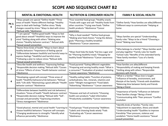## **SCOPE AND SEQUENCE CHART B2**

|              | <b>MENTAL &amp; EMOTIONAL HEALTH</b>                                                                                                                                                                                                                                                               | <b>NUTRITION &amp; CONSUMER HEALTH</b>                                                                                                                                                         | <b>FAMILY &amp; SOCIAL HEALTH</b>                                                                                                                                                                                                                      |
|--------------|----------------------------------------------------------------------------------------------------------------------------------------------------------------------------------------------------------------------------------------------------------------------------------------------------|------------------------------------------------------------------------------------------------------------------------------------------------------------------------------------------------|--------------------------------------------------------------------------------------------------------------------------------------------------------------------------------------------------------------------------------------------------------|
| PK&<br>К     | *Ways people are special *Define Health *Three<br>areas of health *Name different feelings *Healthy<br>ways to deal with feelings *Define stress *Body<br>changes caused by stress *Ways to deal with stress<br>*Refusal skills *Abstinence                                                        | *Four essential food groups *Healthy snacks<br>*Foods with sugar and salt *Healthy foods from<br>other countries *Trying new foods *Define<br>health products *Abstinence *Cancer<br>awareness | *Define family *How families are alike/different<br>*Different ways to communicate *Helping at<br>home                                                                                                                                                 |
| 1            | *"I am special" *Define good health *Ways to feel<br>good about oneself *Healthful ways to improve the<br>mind *Getting along with others *Making wise<br>choices *Healthy behavior contract * Refusal skills<br>*Sexual assault prevention                                                        | *Why is food needed? *Define food groups<br>*Making wise food choices *Using the dietary<br>goals *Planning a healthy breakfast<br>*Abstinence *Cancer awareness                               | *Ways families are special *Understanding<br>family rules *Ways to be a friend *Choosing a<br>friend *Making new friends                                                                                                                               |
| $\mathbf{2}$ | *Name three kinds of health *Ways to learn about<br>healthy behaviors *Importance of feeling special<br>*Differentiate between healthful and harmful ways to<br>express feelings *Healthful and harmful stress<br>*Following a plan to reduce stress *Refusal skills<br>*Sexual assault prevention | *Ways food help the body *Eat less sugar and<br>fat *Planning healthful meals *Shopping for<br>healthy foods*Abstinence *Cancer awareness                                                      | *Who belongs to a family? *Ways families work<br>and play together *Family rules for health<br>*School rules *Benefits of the extended family<br>*New family members *Loss of a family<br>member                                                       |
| 3            | *Describe health and wellness *Expressing feelings<br>*Responsible decision making *Refusal skills *Causes<br>of stress *Effects of stress *Health behavior contract<br>*Abstinence                                                                                                                | *Food pyramid *Eating different vegetables<br>*Preparing and serving healthy meals *What is<br>a consumer? *Evaluation of product marketing<br>*Cancer awareness *Abstinence                   | *How families are alike/different<br>*Responsibility of making and keeping friends<br>*Getting along with others *Responsible<br>decisions with friends                                                                                                |
| 4            | *Developing a good self-concept *Three areas of<br>health *Healthful behaviors/risk behaviors *Refusal<br>skills *Life skills *Maintaining a good attitude *Health<br>behavior contract *Abstinence                                                                                                | *Healthy eating habits *Function of proteins,<br>carbohydrates, fats, minerals, vitamins and<br>water *Weight management *Food labels<br>*Advertising *Abstinence * Cancer awareness           | *What is a family? *Ways love is taught<br>*Influence of heredity, environment, and<br>lifestyle of the family *Friends with disabilities<br>*Balancing time between family and friends<br>*Being a friend                                             |
| 5.           | *Differentiate between healthful and risk behaviors/<br>situations *Areas of health *Health behavior contract<br>*Responsible decision making *Refusal skills *Self -<br>concept and personality *Expressing emotions<br>*Stress management *Abstinence                                            | *Diseases and lack of nutrients *Choosing<br>health care products *Label information<br>*Productivity availability *Cancer awareness                                                           | *Importance of family *Influence on behavior<br>*How families change *Being a friend<br>*Communicating skills *Peer pressure *Conflict<br>resolution                                                                                                   |
| 6            | *Good physical, mental and social health *Learning to<br>choose healthful behaviors *Improve self-concepts<br>*Changing weaknesses to strengths *Identify what<br>influence personality *Abstinence                                                                                                | *Food groups *Food processing *Additives<br>*Labels and choosing foods wisely *Fads<br>*Evaluating ads *Cancer awareness<br>*Abstinence                                                        | *Identify kinds of families *Family roles<br>*Adjustment to separation, illness and death<br>*Understanding health *Qualities to improve<br>friendship *Peer pressure, violence and<br>vandalism *Home health assistance *Sexual<br>assault prevention |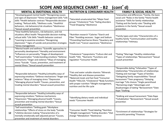# **SCOPE AND SEQUENCE CHART - B2 (cont'd)**

|    | <b>MENTAL &amp; EMOTIONAL HEALTH</b>                                                                                                                                                                                                                                                                                                                                           | <b>NUTRITION &amp; CONSUMER HEALTH</b>                                                                                                                                                                                                                     | <b>FAMILY &amp; SOCIAL HEALTH</b>                                                                                                                                                                                                                                                                                                                                                 |
|----|--------------------------------------------------------------------------------------------------------------------------------------------------------------------------------------------------------------------------------------------------------------------------------------------------------------------------------------------------------------------------------|------------------------------------------------------------------------------------------------------------------------------------------------------------------------------------------------------------------------------------------------------------|-----------------------------------------------------------------------------------------------------------------------------------------------------------------------------------------------------------------------------------------------------------------------------------------------------------------------------------------------------------------------------------|
| 7  | *Developing good mental health *Recognizing causes<br>and signs of depression *Stress management skills *Life<br>skills *Health behavior contract *Responsible decision-<br>making, *Refusal skills, *Wellness scale, *Healthful<br>behaviors, risk behaviors/risk situations *Abstinence<br>*Sexual assault prevention                                                        | *Saturated-unsaturated fats *Major food<br>groups *Cholesterol *Fats *Eating disorders<br>*Food Shopping *Abstinence                                                                                                                                       | *Interaction and differences *Family, the basic<br>social unit *Roles in the family *Home health<br>assistance *Skills for family relationships<br>*Dating and the family rules *Dealing with<br>problems in the family *Sexual assault<br>prevention                                                                                                                             |
| 8  | *How healthful behaviors, risk behaviors, and risk<br>situations affect health *Responsible decision-making,<br>refusal skills *Life Skills *Health behavior contract<br>*Learning to examine emotions *Recognizing<br>depression * Signs of suicide and prevention strategies<br>*Stress management                                                                           | *Nutrition research *Calories *Starch and<br>Fiber *Avoiding excesses: Sugar and Sodium<br>*Preventing food borne illness *Quackery and<br>Health Care *Cancer awareness *Abstinence                                                                       | *Family types and roles *Characteristics of a<br>healthy family *Communication and healthy<br>relationships *Intimacy                                                                                                                                                                                                                                                             |
| 9  | *Mental health and wellness *Scientific approaches to<br>personality development *Heredity and environment<br>*Influences on personality *Stages of development<br>*Self-examination *Understanding emotions *Defense<br>mechanisms *Anger and violence *Ways of managing<br>stress *Suicide *Cause, prevention, and treatment of<br>mental illness *Sexual assault prevention | *Cholesterol *Lipoproteins *Culture diet and<br>health *HDL *Nutrients *Functions and<br>regulation *Consumer Health                                                                                                                                       | *Dating *Marriage *Healthy relationships<br>*Types of relationships *Bereavement *Sexual<br>assault prevention                                                                                                                                                                                                                                                                    |
| 10 | *Responsible behaviors *Healthy/unhealthy ways of<br>expressing emotions *Defense mechanisms *Anger and<br>violence *Ways of managing stress *Depression<br>*Managing physical health *Causes, prevention, and<br>treating mental disorders *Sexual assault prevention                                                                                                         | *Fats and water soluble vitamins *Minerals<br>*Healthy diet and disease prevention<br>*Balanced meals and fast food *Consumer<br>Health *HDL/LDL *Cholesterol *Body functions<br>with proper nutrition *Weight management,<br>nutrition and the life cycle | *Responsible dating *Infatuation *Types of<br>relationships *Characteristics of relationships<br>*Dating and marriage *Types of families<br>*Delegating family responsibilities *Sexual<br>harassment *Teen pregnancy *Delaying<br>marriage *Life choices *Single parenthood<br>*Remaining single *Advantages and<br>disadvantages of dating *Bereavement *Date<br>Rape *Stalking |
| 11 | *Responsible behavior *Healthy/unhealthy ways of<br>expressing emotions *Defense mechanisms<br>*Depression *Managing physical health *Causes,<br>prevention and treating mental disorders *Sexual<br>assault prevention                                                                                                                                                        | *Identifying dietary needs and individual<br>needs *Consumer Health                                                                                                                                                                                        | *Stalking and sexual harassment *Date Rape<br>*Cohabitation *Bereavement *Sexual assault<br>prevention                                                                                                                                                                                                                                                                            |
| 12 | *Self examinations *Setting goals *Workplace<br>relationships *Effects of stress on the body *Suicide<br>*Lifetime decision making *Characteristics of a<br>mentally emotionally well adjusted person *Causes,<br>prevention and treatment of mental disorders                                                                                                                 | *Consumer Health *Food labeling *Nutrition<br>*Weight management *Eating disorders *Diet<br>change *Metabolism *Abstinence                                                                                                                                 | *Enrichment of relationships *Strategies for<br>successful parenting *Finances                                                                                                                                                                                                                                                                                                    |